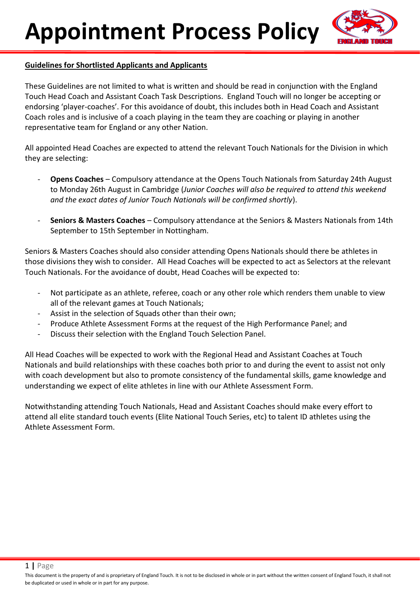

## **Guidelines for Shortlisted Applicants and Applicants**

These Guidelines are not limited to what is written and should be read in conjunction with the England Touch Head Coach and Assistant Coach Task Descriptions. England Touch will no longer be accepting or endorsing 'player-coaches'. For this avoidance of doubt, this includes both in Head Coach and Assistant Coach roles and is inclusive of a coach playing in the team they are coaching or playing in another representative team for England or any other Nation.

All appointed Head Coaches are expected to attend the relevant Touch Nationals for the Division in which they are selecting:

- **Opens Coaches** Compulsory attendance at the Opens Touch Nationals from Saturday 24th August to Monday 26th August in Cambridge (*Junior Coaches will also be required to attend this weekend and the exact dates of Junior Touch Nationals will be confirmed shortly*).
- **Seniors & Masters Coaches** Compulsory attendance at the Seniors & Masters Nationals from 14th September to 15th September in Nottingham.

Seniors & Masters Coaches should also consider attending Opens Nationals should there be athletes in those divisions they wish to consider. All Head Coaches will be expected to act as Selectors at the relevant Touch Nationals. For the avoidance of doubt, Head Coaches will be expected to:

- Not participate as an athlete, referee, coach or any other role which renders them unable to view all of the relevant games at Touch Nationals;
- Assist in the selection of Squads other than their own;
- Produce Athlete Assessment Forms at the request of the High Performance Panel; and
- Discuss their selection with the England Touch Selection Panel.

All Head Coaches will be expected to work with the Regional Head and Assistant Coaches at Touch Nationals and build relationships with these coaches both prior to and during the event to assist not only with coach development but also to promote consistency of the fundamental skills, game knowledge and understanding we expect of elite athletes in line with our Athlete Assessment Form.

Notwithstanding attending Touch Nationals, Head and Assistant Coaches should make every effort to attend all elite standard touch events (Elite National Touch Series, etc) to talent ID athletes using the Athlete Assessment Form.

1 **|** Page

This document is the property of and is proprietary of England Touch. It is not to be disclosed in whole or in part without the written consent of England Touch, it shall not be duplicated or used in whole or in part for any purpose.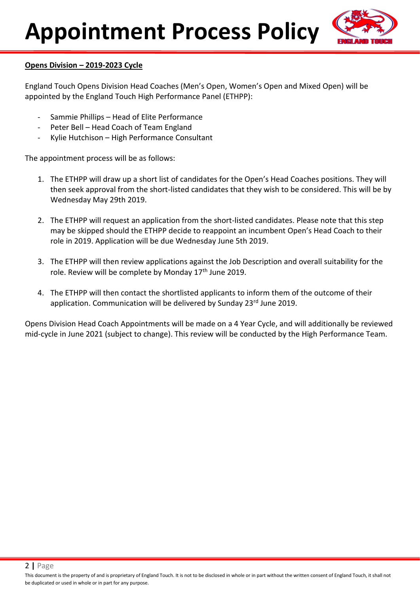

## **Opens Division – 2019-2023 Cycle**

England Touch Opens Division Head Coaches (Men's Open, Women's Open and Mixed Open) will be appointed by the England Touch High Performance Panel (ETHPP):

- Sammie Phillips Head of Elite Performance
- Peter Bell Head Coach of Team England
- Kylie Hutchison High Performance Consultant

The appointment process will be as follows:

- 1. The ETHPP will draw up a short list of candidates for the Open's Head Coaches positions. They will then seek approval from the short-listed candidates that they wish to be considered. This will be by Wednesday May 29th 2019.
- 2. The ETHPP will request an application from the short-listed candidates. Please note that this step may be skipped should the ETHPP decide to reappoint an incumbent Open's Head Coach to their role in 2019. Application will be due Wednesday June 5th 2019.
- 3. The ETHPP will then review applications against the Job Description and overall suitability for the role. Review will be complete by Monday 17<sup>th</sup> June 2019.
- 4. The ETHPP will then contact the shortlisted applicants to inform them of the outcome of their application. Communication will be delivered by Sunday 23rd June 2019.

Opens Division Head Coach Appointments will be made on a 4 Year Cycle, and will additionally be reviewed mid-cycle in June 2021 (subject to change). This review will be conducted by the High Performance Team.

2 **|** Page

This document is the property of and is proprietary of England Touch. It is not to be disclosed in whole or in part without the written consent of England Touch, it shall not be duplicated or used in whole or in part for any purpose.